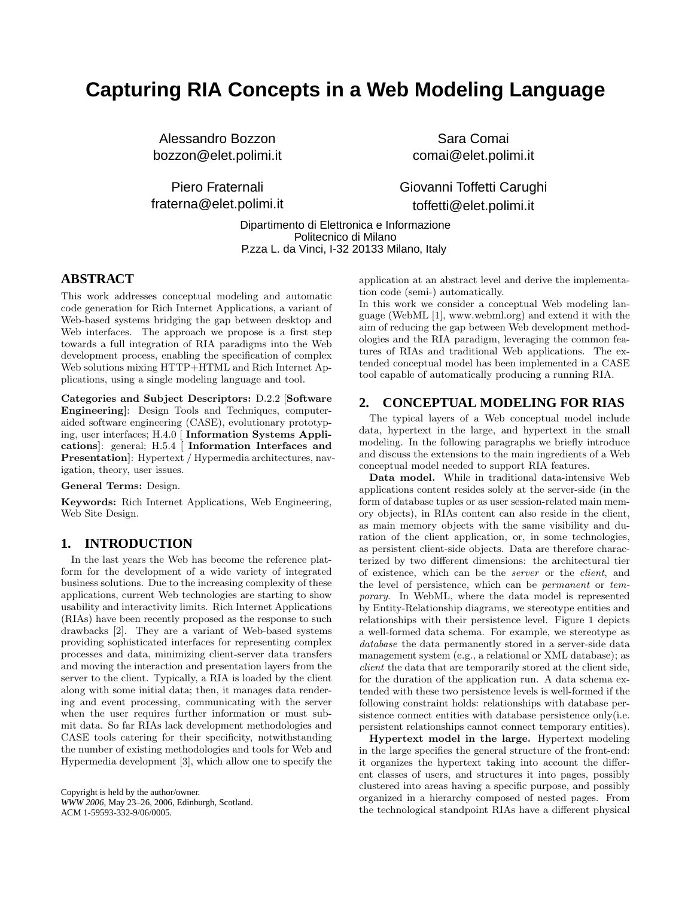# **Capturing RIA Concepts in a Web Modeling Language**

Alessandro Bozzon bozzon@elet.polimi.it

Piero Fraternali fraterna@elet.polimi.it

Sara Comai comai@elet.polimi.it

Giovanni Toffetti Carughi toffetti@elet.polimi.it

Dipartimento di Elettronica e Informazione Politecnico di Milano P.zza L. da Vinci, I-32 20133 Milano, Italy

## **ABSTRACT**

This work addresses conceptual modeling and automatic code generation for Rich Internet Applications, a variant of Web-based systems bridging the gap between desktop and Web interfaces. The approach we propose is a first step towards a full integration of RIA paradigms into the Web development process, enabling the specification of complex Web solutions mixing HTTP+HTML and Rich Internet Applications, using a single modeling language and tool.

Categories and Subject Descriptors: D.2.2 [Software Engineering]: Design Tools and Techniques, computeraided software engineering (CASE), evolutionary prototyping, user interfaces; H.4.0 [ Information Systems Applications]: general; H.5.4 [ Information Interfaces and Presentation]: Hypertext / Hypermedia architectures, navigation, theory, user issues.

General Terms: Design.

Keywords: Rich Internet Applications, Web Engineering, Web Site Design.

### **1. INTRODUCTION**

In the last years the Web has become the reference platform for the development of a wide variety of integrated business solutions. Due to the increasing complexity of these applications, current Web technologies are starting to show usability and interactivity limits. Rich Internet Applications (RIAs) have been recently proposed as the response to such drawbacks [2]. They are a variant of Web-based systems providing sophisticated interfaces for representing complex processes and data, minimizing client-server data transfers and moving the interaction and presentation layers from the server to the client. Typically, a RIA is loaded by the client along with some initial data; then, it manages data rendering and event processing, communicating with the server when the user requires further information or must submit data. So far RIAs lack development methodologies and CASE tools catering for their specificity, notwithstanding the number of existing methodologies and tools for Web and Hypermedia development [3], which allow one to specify the

Copyright is held by the author/owner. *WWW 2006,* May 23–26, 2006, Edinburgh, Scotland. ACM 1-59593-332-9/06/0005.

application at an abstract level and derive the implementation code (semi-) automatically.

In this work we consider a conceptual Web modeling language (WebML [1], www.webml.org) and extend it with the aim of reducing the gap between Web development methodologies and the RIA paradigm, leveraging the common features of RIAs and traditional Web applications. The extended conceptual model has been implemented in a CASE tool capable of automatically producing a running RIA.

### **2. CONCEPTUAL MODELING FOR RIAS**

The typical layers of a Web conceptual model include data, hypertext in the large, and hypertext in the small modeling. In the following paragraphs we briefly introduce and discuss the extensions to the main ingredients of a Web conceptual model needed to support RIA features.

Data model. While in traditional data-intensive Web applications content resides solely at the server-side (in the form of database tuples or as user session-related main memory objects), in RIAs content can also reside in the client, as main memory objects with the same visibility and duration of the client application, or, in some technologies, as persistent client-side objects. Data are therefore characterized by two different dimensions: the architectural tier of existence, which can be the server or the client, and the level of persistence, which can be permanent or temporary. In WebML, where the data model is represented by Entity-Relationship diagrams, we stereotype entities and relationships with their persistence level. Figure 1 depicts a well-formed data schema. For example, we stereotype as database the data permanently stored in a server-side data management system (e.g., a relational or XML database); as client the data that are temporarily stored at the client side, for the duration of the application run. A data schema extended with these two persistence levels is well-formed if the following constraint holds: relationships with database persistence connect entities with database persistence only(i.e. persistent relationships cannot connect temporary entities).

Hypertext model in the large. Hypertext modeling in the large specifies the general structure of the front-end: it organizes the hypertext taking into account the different classes of users, and structures it into pages, possibly clustered into areas having a specific purpose, and possibly organized in a hierarchy composed of nested pages. From the technological standpoint RIAs have a different physical